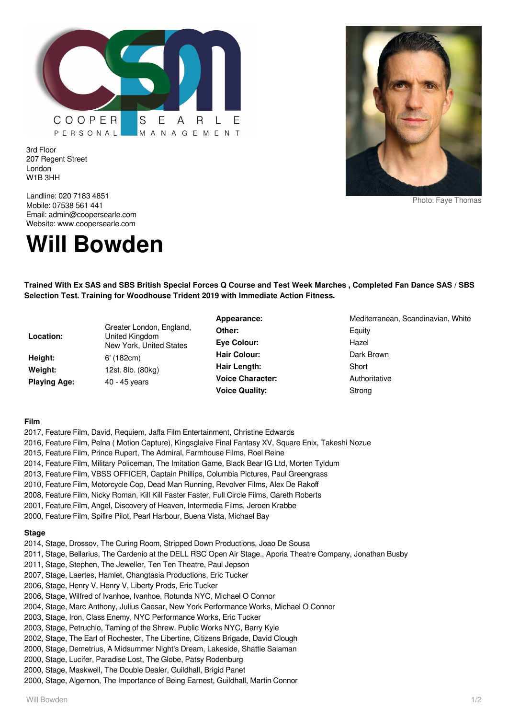

Photo: Faye Thomas

3rd Floor 207 Regent Street London W1B 3HH

Landline: 020 7183 4851 Mobile: 07538 561 441 Email: admin@coopersearle.com Website: www.coopersearle.com

# **Will Bowden**

**Trained With Ex SAS and SBS British Special Forces Q Course and Test Week Marches , Completed Fan Dance SAS / SBS Selection Test. Training for Woodhouse Trident 2019 with Immediate Action Fitness.**

**Location:** Greater London, England, United Kingdom New York, United States **Height:** 6' (182cm) **Weight:** 12st. 8lb. (80kg) Playing Age: 40 - 45 years

**Other:** Equity Eve Colour: Mazel Hair Colour: Dark Brown **Hair Length:** Short **Voice Character:** Authoritative **Voice Quality:** Strong

Appearance: Mediterranean, Scandinavian, White

## **Film**

- 2017, Feature Film, David, Requiem, Jaffa Film Entertainment, Christine Edwards
- 2016, Feature Film, Pelna ( Motion Capture), Kingsglaive Final Fantasy XV, Square Enix, Takeshi Nozue
- 2015, Feature Film, Prince Rupert, The Admiral, Farmhouse Films, Roel Reine
- 2014, Feature Film, Military Policeman, The Imitation Game, Black Bear IG Ltd, Morten Tyldum
- 2013, Feature Film, VBSS OFFICER, Captain Phillips, Columbia Pictures, Paul Greengrass
- 2010, Feature Film, Motorcycle Cop, Dead Man Running, Revolver Films, Alex De Rakoff
- 2008, Feature Film, Nicky Roman, Kill Kill Faster Faster, Full Circle Films, Gareth Roberts
- 2001, Feature Film, Angel, Discovery of Heaven, Intermedia Films, Jeroen Krabbe
- 2000, Feature Film, Spifire Pilot, Pearl Harbour, Buena Vista, Michael Bay

## **Stage**

- 2014, Stage, Drossov, The Curing Room, Stripped Down Productions, Joao De Sousa
- 2011, Stage, Bellarius, The Cardenio at the DELL RSC Open Air Stage., Aporia Theatre Company, Jonathan Busby
- 2011, Stage, Stephen, The Jeweller, Ten Ten Theatre, Paul Jepson
- 2007, Stage, Laertes, Hamlet, Changtasia Productions, Eric Tucker
- 2006, Stage, Henry V, Henry V, Liberty Prods, Eric Tucker
- 2006, Stage, Wilfred of Ivanhoe, Ivanhoe, Rotunda NYC, Michael O Connor
- 2004, Stage, Marc Anthony, Julius Caesar, New York Performance Works, Michael O Connor
- 2003, Stage, Iron, Class Enemy, NYC Performance Works, Eric Tucker
- 2003, Stage, Petruchio, Taming of the Shrew, Public Works NYC, Barry Kyle
- 2002, Stage, The Earl of Rochester, The Libertine, Citizens Brigade, David Clough
- 2000, Stage, Demetrius, A Midsummer Night's Dream, Lakeside, Shattie Salaman
- 2000, Stage, Lucifer, Paradise Lost, The Globe, Patsy Rodenburg
- 2000, Stage, Maskwell, The Double Dealer, Guildhall, Brigid Panet
- 2000, Stage, Algernon, The Importance of Being Earnest, Guildhall, Martin Connor